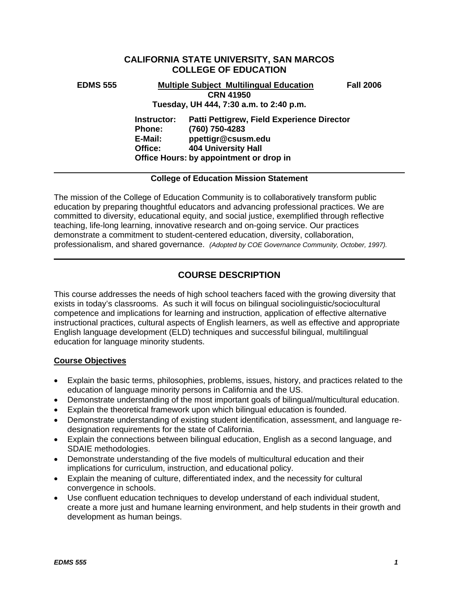# **CALIFORNIA STATE UNIVERSITY, SAN MARCOS COLLEGE OF EDUCATION**

**EDMS 555 Multiple Subject Multilingual Education Fall 2006 CRN 41950 Tuesday, UH 444, 7:30 a.m. to 2:40 p.m.** 

> **Instructor: Patti Pettigrew, Field Experience Director Phone: (760) 750-4283 E-Mail: ppettigr@csusm.edu Office: 404 University Hall Office Hours: by appointment or drop in**

## **College of Education Mission Statement**

The mission of the College of Education Community is to collaboratively transform public education by preparing thoughtful educators and advancing professional practices. We are committed to diversity, educational equity, and social justice, exemplified through reflective teaching, life-long learning, innovative research and on-going service. Our practices demonstrate a commitment to student-centered education, diversity, collaboration, professionalism, and shared governance. *(Adopted by COE Governance Community, October, 1997).* 

# **COURSE DESCRIPTION**

This course addresses the needs of high school teachers faced with the growing diversity that exists in today's classrooms. As such it will focus on bilingual sociolinguistic/sociocultural competence and implications for learning and instruction, application of effective alternative instructional practices, cultural aspects of English learners, as well as effective and appropriate English language development (ELD) techniques and successful bilingual, multilingual education for language minority students.

## **Course Objectives**

- Explain the basic terms, philosophies, problems, issues, history, and practices related to the education of language minority persons in California and the US.
- Demonstrate understanding of the most important goals of bilingual/multicultural education.
- Explain the theoretical framework upon which bilingual education is founded.
- Demonstrate understanding of existing student identification, assessment, and language redesignation requirements for the state of California.
- Explain the connections between bilingual education, English as a second language, and SDAIE methodologies.
- Demonstrate understanding of the five models of multicultural education and their implications for curriculum, instruction, and educational policy.
- Explain the meaning of culture, differentiated index, and the necessity for cultural convergence in schools.
- Use confluent education techniques to develop understand of each individual student, create a more just and humane learning environment, and help students in their growth and development as human beings.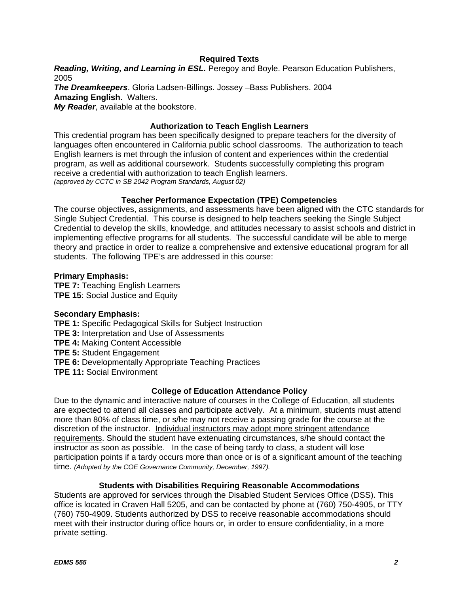## **Required Texts**

*Reading, Writing, and Learning in ESL.* Peregoy and Boyle. Pearson Education Publishers, 2005

*The Dreamkeepers*. Gloria Ladsen-Billings. Jossey –Bass Publishers. 2004 **Amazing English**. Walters. *My Reader*, available at the bookstore.

#### **Authorization to Teach English Learners**

This credential program has been specifically designed to prepare teachers for the diversity of languages often encountered in California public school classrooms. The authorization to teach English learners is met through the infusion of content and experiences within the credential program, as well as additional coursework. Students successfully completing this program receive a credential with authorization to teach English learners. *(approved by CCTC in SB 2042 Program Standards, August 02)*

## **Teacher Performance Expectation (TPE) Competencies**

The course objectives, assignments, and assessments have been aligned with the CTC standards for Single Subject Credential. This course is designed to help teachers seeking the Single Subject Credential to develop the skills, knowledge, and attitudes necessary to assist schools and district in implementing effective programs for all students. The successful candidate will be able to merge theory and practice in order to realize a comprehensive and extensive educational program for all students. The following TPE's are addressed in this course:

## **Primary Emphasis:**

**TPE 7:** Teaching English Learners **TPE 15**: Social Justice and Equity

#### **Secondary Emphasis:**

**TPE 1:** Specific Pedagogical Skills for Subject Instruction

**TPE 3:** Interpretation and Use of Assessments

**TPE 4:** Making Content Accessible

**TPE 5:** Student Engagement

- **TPE 6:** Developmentally Appropriate Teaching Practices
- **TPE 11:** Social Environment

## **College of Education Attendance Policy**

Due to the dynamic and interactive nature of courses in the College of Education, all students are expected to attend all classes and participate actively. At a minimum, students must attend more than 80% of class time, or s/he may not receive a passing grade for the course at the discretion of the instructor. Individual instructors may adopt more stringent attendance requirements. Should the student have extenuating circumstances, s/he should contact the instructor as soon as possible. In the case of being tardy to class, a student will lose participation points if a tardy occurs more than once or is of a significant amount of the teaching time. *(Adopted by the COE Governance Community, December, 1997).*

#### **Students with Disabilities Requiring Reasonable Accommodations**

Students are approved for services through the Disabled Student Services Office (DSS). This office is located in Craven Hall 5205, and can be contacted by phone at (760) 750-4905, or TTY (760) 750-4909. Students authorized by DSS to receive reasonable accommodations should meet with their instructor during office hours or, in order to ensure confidentiality, in a more private setting.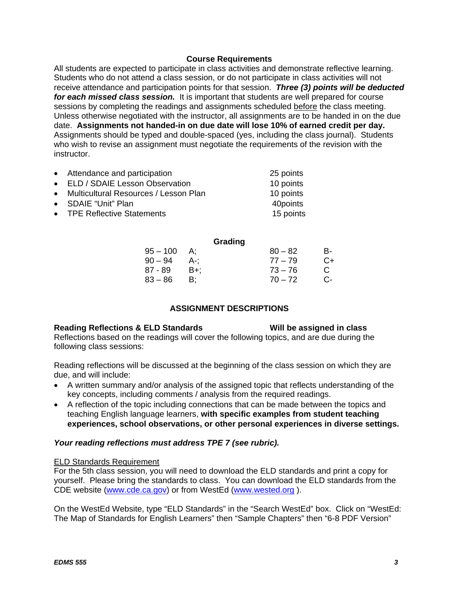#### **Course Requirements**

All students are expected to participate in class activities and demonstrate reflective learning. Students who do not attend a class session, or do not participate in class activities will not receive attendance and participation points for that session. *Three (3) points will be deducted for each missed class session.* It is important that students are well prepared for course sessions by completing the readings and assignments scheduled before the class meeting. Unless otherwise negotiated with the instructor, all assignments are to be handed in on the due date. **Assignments not handed-in on due date will lose 10% of earned credit per day.** Assignments should be typed and double-spaced (yes, including the class journal). Students who wish to revise an assignment must negotiate the requirements of the revision with the instructor.

| • Attendance and participation          | 25 points |
|-----------------------------------------|-----------|
| • ELD / SDAIE Lesson Observation        | 10 points |
| • Multicultural Resources / Lesson Plan | 10 points |
| • SDAIE "Unit" Plan                     | 40points  |
| • TPE Reflective Statements             | 15 points |

| Grading   |    |
|-----------|----|
| $80 - 82$ | B- |
| $77 - 79$ | C+ |
| $73 - 76$ | C. |
| $70 - 72$ | C- |
|           |    |

## **ASSIGNMENT DESCRIPTIONS**

#### Reading Reflections & ELD Standards Will be assigned in class

Reflections based on the readings will cover the following topics, and are due during the following class sessions:

Reading reflections will be discussed at the beginning of the class session on which they are due, and will include:

- A written summary and/or analysis of the assigned topic that reflects understanding of the key concepts, including comments / analysis from the required readings.
- A reflection of the topic including connections that can be made between the topics and teaching English language learners, **with specific examples from student teaching experiences, school observations, or other personal experiences in diverse settings.**

## *Your reading reflections must address TPE 7 (see rubric).*

#### ELD Standards Requirement

For the 5th class session, you will need to download the ELD standards and print a copy for yourself. Please bring the standards to class. You can download the ELD standards from the CDE website (www.cde.ca.gov) or from WestEd (www.wested.org ).

On the WestEd Website, type "ELD Standards" in the "Search WestEd" box. Click on "WestEd: The Map of Standards for English Learners" then "Sample Chapters" then "6-8 PDF Version"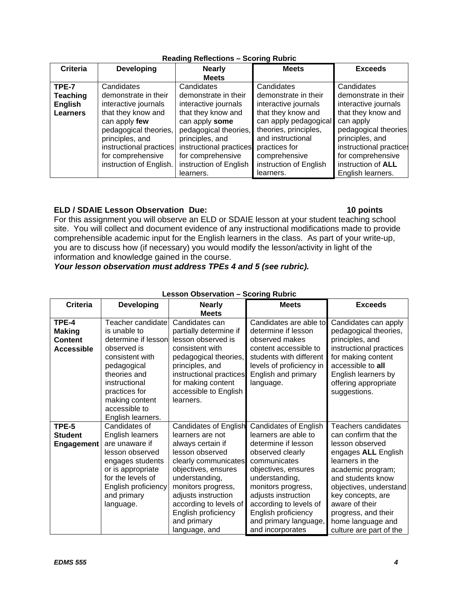| <b>Criteria</b> | <b>Developing</b>       | <b>Nearly</b>           | <b>Meets</b>           | <b>Exceeds</b>          |
|-----------------|-------------------------|-------------------------|------------------------|-------------------------|
|                 |                         | <b>Meets</b>            |                        |                         |
| TPE-7           | Candidates              | Candidates              | Candidates             | Candidates              |
| <b>Teaching</b> | demonstrate in their    | demonstrate in their    | demonstrate in their   | demonstrate in their    |
| <b>English</b>  | interactive journals    | interactive journals    | interactive journals   | interactive journals    |
| <b>Learners</b> | that they know and      | that they know and      | that they know and     | that they know and      |
|                 | can apply few           | can apply some          | can apply pedagogical  | can apply               |
|                 | pedagogical theories,   | pedagogical theories,   | theories, principles,  | pedagogical theories    |
|                 | principles, and         | principles, and         | and instructional      | principles, and         |
|                 | instructional practices | instructional practices | practices for          | instructional practices |
|                 | for comprehensive       | for comprehensive       | comprehensive          | for comprehensive       |
|                 | instruction of English. | instruction of English  | instruction of English | instruction of ALL      |
|                 |                         | learners.               | learners.              | English learners.       |

## **Reading Reflections – Scoring Rubric**

## **ELD / SDAIE Lesson Observation Due:** 10 points **10 points**

For this assignment you will observe an ELD or SDAIE lesson at your student teaching school site. You will collect and document evidence of any instructional modifications made to provide comprehensible academic input for the English learners in the class. As part of your write-up, you are to discuss how (if necessary) you would modify the lesson/activity in light of the information and knowledge gained in the course.

*Your lesson observation must address TPEs 4 and 5 (see rubric).* 

| <b>Criteria</b>                                               | <b>Developing</b>                                                                                                                                                                                                   | <b>Nearly</b><br><b>Meets</b>                                                                                                                                                                                                                                                           | <b>Meets</b>                                                                                                                                                                                                                                                                                        | <b>Exceeds</b>                                                                                                                                                                                                                                                                             |
|---------------------------------------------------------------|---------------------------------------------------------------------------------------------------------------------------------------------------------------------------------------------------------------------|-----------------------------------------------------------------------------------------------------------------------------------------------------------------------------------------------------------------------------------------------------------------------------------------|-----------------------------------------------------------------------------------------------------------------------------------------------------------------------------------------------------------------------------------------------------------------------------------------------------|--------------------------------------------------------------------------------------------------------------------------------------------------------------------------------------------------------------------------------------------------------------------------------------------|
| TPE-4<br><b>Making</b><br><b>Content</b><br><b>Accessible</b> | Teacher candidate<br>is unable to<br>determine if lesson<br>observed is<br>consistent with<br>pedagogical<br>theories and<br>instructional<br>practices for<br>making content<br>accessible to<br>English learners. | Candidates can<br>partially determine if<br>lesson observed is<br>consistent with<br>pedagogical theories,<br>principles, and<br>instructional practices<br>for making content<br>accessible to English<br>learners.                                                                    | Candidates are able to<br>determine if lesson<br>observed makes<br>content accessible to<br>students with different<br>levels of proficiency in<br>English and primary<br>language.                                                                                                                 | Candidates can apply<br>pedagogical theories,<br>principles, and<br>instructional practices<br>for making content<br>accessible to all<br>English learners by<br>offering appropriate<br>suggestions.                                                                                      |
| TPE-5<br><b>Student</b><br><b>Engagement</b>                  | Candidates of<br>English learners<br>are unaware if<br>lesson observed<br>engages students<br>or is appropriate<br>for the levels of<br>English proficiency<br>and primary<br>language.                             | <b>Candidates of English</b><br>learners are not<br>always certain if<br>lesson observed<br>clearly communicates<br>objectives, ensures<br>understanding,<br>monitors progress,<br>adjusts instruction<br>according to levels of<br>English proficiency<br>and primary<br>language, and | <b>Candidates of English</b><br>learners are able to<br>determine if lesson<br>observed clearly<br>communicates<br>objectives, ensures<br>understanding,<br>monitors progress,<br>adjusts instruction<br>according to levels of<br>English proficiency<br>and primary language,<br>and incorporates | Teachers candidates<br>can confirm that the<br>lesson observed<br>engages ALL English<br>learners in the<br>academic program;<br>and students know<br>objectives, understand<br>key concepts, are<br>aware of their<br>progress, and their<br>home language and<br>culture are part of the |

#### **Lesson Observation – Scoring Rubric**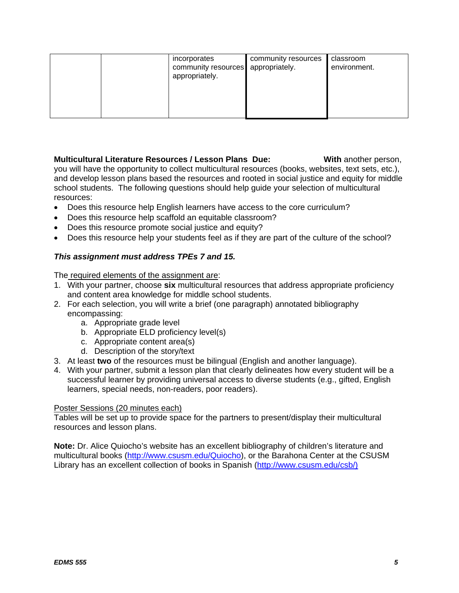|  | incorporates<br>community resources appropriately.<br>appropriately. | community resources | classroom<br>environment. |
|--|----------------------------------------------------------------------|---------------------|---------------------------|
|  |                                                                      |                     |                           |

**Multicultural Literature Resources / Lesson Plans Due: With another person, When** you will have the opportunity to collect multicultural resources (books, websites, text sets, etc.), and develop lesson plans based the resources and rooted in social justice and equity for middle school students. The following questions should help guide your selection of multicultural resources:

- Does this resource help English learners have access to the core curriculum?
- Does this resource help scaffold an equitable classroom?
- Does this resource promote social justice and equity?
- Does this resource help your students feel as if they are part of the culture of the school?

# *This assignment must address TPEs 7 and 15.*

The required elements of the assignment are:

- 1. With your partner, choose **six** multicultural resources that address appropriate proficiency and content area knowledge for middle school students.
- 2. For each selection, you will write a brief (one paragraph) annotated bibliography encompassing:
	- a. Appropriate grade level
	- b. Appropriate ELD proficiency level(s)
	- c. Appropriate content area(s)
	- d. Description of the story/text
- 3. At least **two** of the resources must be bilingual (English and another language).
- 4. With your partner, submit a lesson plan that clearly delineates how every student will be a successful learner by providing universal access to diverse students (e.g., gifted, English learners, special needs, non-readers, poor readers).

#### Poster Sessions (20 minutes each)

Tables will be set up to provide space for the partners to present/display their multicultural resources and lesson plans.

**Note:** Dr. Alice Quiocho's website has an excellent bibliography of children's literature and multicultural books (http://www.csusm.edu/Quiocho), or the Barahona Center at the CSUSM Library has an excellent collection of books in Spanish (http://www.csusm.edu/csb/)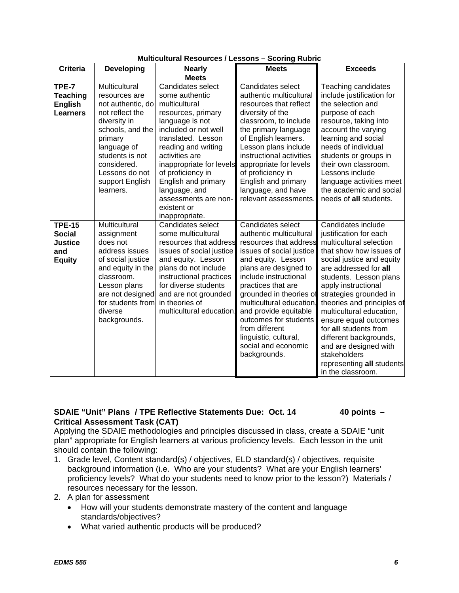| <b>Criteria</b>                                                          | <b>Developing</b>                                                                                                                                                                                                        | municumum nesounces / Eessons – oconing nubino<br><b>Nearly</b>                                                                                                                                                                                                                                                                        | <b>Meets</b>                                                                                                                                                                                                                                                                                                                                                                               | <b>Exceeds</b>                                                                                                                                                                                                                                                                                                                                                                                                                                                       |
|--------------------------------------------------------------------------|--------------------------------------------------------------------------------------------------------------------------------------------------------------------------------------------------------------------------|----------------------------------------------------------------------------------------------------------------------------------------------------------------------------------------------------------------------------------------------------------------------------------------------------------------------------------------|--------------------------------------------------------------------------------------------------------------------------------------------------------------------------------------------------------------------------------------------------------------------------------------------------------------------------------------------------------------------------------------------|----------------------------------------------------------------------------------------------------------------------------------------------------------------------------------------------------------------------------------------------------------------------------------------------------------------------------------------------------------------------------------------------------------------------------------------------------------------------|
|                                                                          |                                                                                                                                                                                                                          | <b>Meets</b>                                                                                                                                                                                                                                                                                                                           |                                                                                                                                                                                                                                                                                                                                                                                            |                                                                                                                                                                                                                                                                                                                                                                                                                                                                      |
| TPE-7<br><b>Teaching</b><br><b>English</b><br><b>Learners</b>            | Multicultural<br>resources are<br>not authentic, do<br>not reflect the<br>diversity in<br>schools, and the<br>primary<br>language of<br>students is not<br>considered.<br>Lessons do not<br>support English<br>learners. | Candidates select<br>some authentic<br>multicultural<br>resources, primary<br>language is not<br>included or not well<br>translated. Lesson<br>reading and writing<br>activities are<br>inappropriate for levels<br>of proficiency in<br>English and primary<br>language, and<br>assessments are non-<br>existent or<br>inappropriate. | Candidates select<br>authentic multicultural<br>resources that reflect<br>diversity of the<br>classroom, to include<br>the primary language<br>of English learners.<br>Lesson plans include<br>instructional activities<br>appropriate for levels<br>of proficiency in<br>English and primary<br>language, and have<br>relevant assessments.                                               | Teaching candidates<br>include justification for<br>the selection and<br>purpose of each<br>resource, taking into<br>account the varying<br>learning and social<br>needs of individual<br>students or groups in<br>their own classroom.<br>Lessons include<br>language activities meet<br>the academic and social<br>needs of all students.                                                                                                                          |
| <b>TPE-15</b><br><b>Social</b><br><b>Justice</b><br>and<br><b>Equity</b> | Multicultural<br>assignment<br>does not<br>address issues<br>of social justice<br>and equity in the<br>classroom.<br>Lesson plans<br>are not designed<br>for students from<br>diverse<br>backgrounds.                    | Candidates select<br>some multicultural<br>resources that address<br>issues of social justice<br>and equity. Lesson<br>plans do not include<br>instructional practices<br>for diverse students<br>and are not grounded<br>in theories of<br>multicultural education.                                                                   | Candidates select<br>authentic multicultural<br>resources that address<br>issues of social justice<br>and equity. Lesson<br>plans are designed to<br>include instructional<br>practices that are<br>grounded in theories of<br>multicultural education<br>and provide equitable<br>outcomes for students<br>from different<br>linguistic, cultural,<br>social and economic<br>backgrounds. | Candidates include<br>justification for each<br>multicultural selection<br>that show how issues of<br>social justice and equity<br>are addressed for all<br>students. Lesson plans<br>apply instructional<br>strategies grounded in<br>theories and principles of<br>multicultural education,<br>ensure equal outcomes<br>for all students from<br>different backgrounds,<br>and are designed with<br>stakeholders<br>representing all students<br>in the classroom. |

## **Multicultural Resources / Lessons – Scoring Rubric**

## SDAIE "Unit" Plans / TPE Reflective Statements Due: Oct. 14 40 points -**Critical Assessment Task (CAT)**

Applying the SDAIE methodologies and principles discussed in class, create a SDAIE "unit plan" appropriate for English learners at various proficiency levels. Each lesson in the unit should contain the following:

1. Grade level, Content standard(s) / objectives, ELD standard(s) / objectives, requisite background information (i.e. Who are your students? What are your English learners' proficiency levels? What do your students need to know prior to the lesson?) Materials / resources necessary for the lesson.

## 2. A plan for assessment

- How will your students demonstrate mastery of the content and language standards/objectives?
- What varied authentic products will be produced?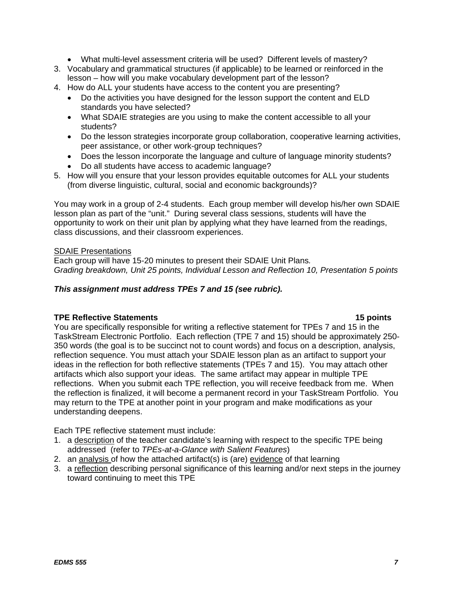- What multi-level assessment criteria will be used? Different levels of mastery?
- 3. Vocabulary and grammatical structures (if applicable) to be learned or reinforced in the lesson – how will you make vocabulary development part of the lesson?
- 4. How do ALL your students have access to the content you are presenting?
	- Do the activities you have designed for the lesson support the content and ELD standards you have selected?
	- What SDAIE strategies are you using to make the content accessible to all your students?
	- Do the lesson strategies incorporate group collaboration, cooperative learning activities, peer assistance, or other work-group techniques?
	- Does the lesson incorporate the language and culture of language minority students?
	- Do all students have access to academic language?
- 5. How will you ensure that your lesson provides equitable outcomes for ALL your students (from diverse linguistic, cultural, social and economic backgrounds)?

You may work in a group of 2-4 students. Each group member will develop his/her own SDAIE lesson plan as part of the "unit." During several class sessions, students will have the opportunity to work on their unit plan by applying what they have learned from the readings, class discussions, and their classroom experiences.

#### SDAIE Presentations

Each group will have 15-20 minutes to present their SDAIE Unit Plans*. Grading breakdown, Unit 25 points, Individual Lesson and Reflection 10, Presentation 5 points*

## *This assignment must address TPEs 7 and 15 (see rubric).*

#### **TPE Reflective Statements 15 points**

You are specifically responsible for writing a reflective statement for TPEs 7 and 15 in the TaskStream Electronic Portfolio. Each reflection (TPE 7 and 15) should be approximately 250- 350 words (the goal is to be succinct not to count words) and focus on a description, analysis, reflection sequence. You must attach your SDAIE lesson plan as an artifact to support your ideas in the reflection for both reflective statements (TPEs 7 and 15). You may attach other artifacts which also support your ideas. The same artifact may appear in multiple TPE reflections. When you submit each TPE reflection, you will receive feedback from me. When the reflection is finalized, it will become a permanent record in your TaskStream Portfolio. You may return to the TPE at another point in your program and make modifications as your understanding deepens.

Each TPE reflective statement must include:

- 1. a description of the teacher candidate's learning with respect to the specific TPE being addressed (refer to *TPEs-at-a-Glance with Salient Features*)
- 2. an analysis of how the attached artifact(s) is (are) evidence of that learning
- 3. a reflection describing personal significance of this learning and/or next steps in the journey toward continuing to meet this TPE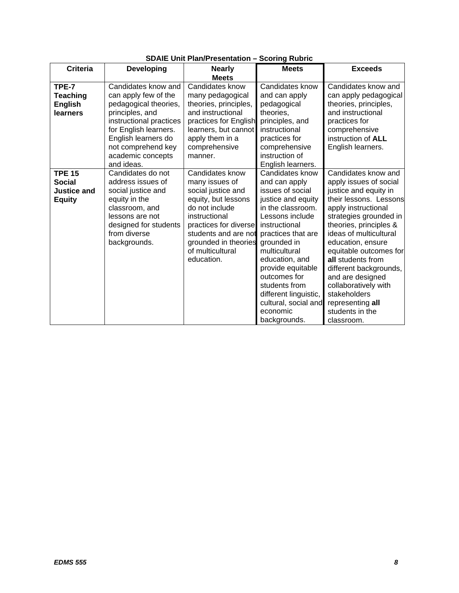|                    |                         | יוטיוייט וייוויי וייוויט בורוס | ooonng nuwin          |                        |
|--------------------|-------------------------|--------------------------------|-----------------------|------------------------|
| <b>Criteria</b>    | <b>Developing</b>       | <b>Nearly</b>                  | <b>Meets</b>          | <b>Exceeds</b>         |
|                    |                         | <b>Meets</b>                   |                       |                        |
| TPE-7              | Candidates know and     | Candidates know                | Candidates know       | Candidates know and    |
| <b>Teaching</b>    | can apply few of the    | many pedagogical               | and can apply         | can apply pedagogical  |
| <b>English</b>     | pedagogical theories,   | theories, principles,          | pedagogical           | theories, principles,  |
| learners           | principles, and         | and instructional              | theories,             | and instructional      |
|                    | instructional practices | practices for English          | principles, and       | practices for          |
|                    | for English learners.   | learners, but cannot           | instructional         | comprehensive          |
|                    | English learners do     | apply them in a                | practices for         | instruction of ALL     |
|                    | not comprehend key      | comprehensive                  | comprehensive         | English learners.      |
|                    | academic concepts       | manner.                        | instruction of        |                        |
|                    | and ideas.              |                                | English learners.     |                        |
| <b>TPE 15</b>      | Candidates do not       | Candidates know                | Candidates know       | Candidates know and    |
| <b>Social</b>      | address issues of       | many issues of                 | and can apply         | apply issues of social |
| <b>Justice and</b> | social justice and      | social justice and             | issues of social      | justice and equity in  |
| <b>Equity</b>      | equity in the           | equity, but lessons            | justice and equity    | their lessons. Lessons |
|                    | classroom, and          | do not include                 | in the classroom.     | apply instructional    |
|                    | lessons are not         | instructional                  | Lessons include       | strategies grounded in |
|                    | designed for students   | practices for diverse          | instructional         | theories, principles & |
|                    | from diverse            | students and are not           | practices that are    | ideas of multicultural |
|                    | backgrounds.            | grounded in theories           | grounded in           | education, ensure      |
|                    |                         | of multicultural               | multicultural         | equitable outcomes for |
|                    |                         | education.                     | education, and        | all students from      |
|                    |                         |                                | provide equitable     | different backgrounds, |
|                    |                         |                                | outcomes for          | and are designed       |
|                    |                         |                                | students from         | collaboratively with   |
|                    |                         |                                | different linguistic, | stakeholders           |
|                    |                         |                                | cultural, social and  | representing all       |
|                    |                         |                                | economic              | students in the        |
|                    |                         |                                | backgrounds.          | classroom.             |

# **SDAIE Unit Plan/Presentation – Scoring Rubric**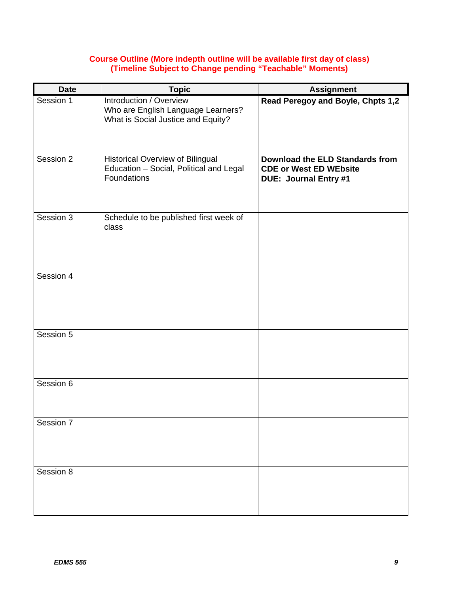## **Course Outline (More indepth outline will be available first day of class) (Timeline Subject to Change pending "Teachable" Moments)**

| <b>Date</b> | <b>Topic</b>                                                                                        | <b>Assignment</b>                                                                                       |
|-------------|-----------------------------------------------------------------------------------------------------|---------------------------------------------------------------------------------------------------------|
| Session 1   | Introduction / Overview<br>Who are English Language Learners?<br>What is Social Justice and Equity? | Read Peregoy and Boyle, Chpts 1,2                                                                       |
| Session 2   | <b>Historical Overview of Bilingual</b><br>Education - Social, Political and Legal<br>Foundations   | <b>Download the ELD Standards from</b><br><b>CDE or West ED WEbsite</b><br><b>DUE: Journal Entry #1</b> |
| Session 3   | Schedule to be published first week of<br>class                                                     |                                                                                                         |
| Session 4   |                                                                                                     |                                                                                                         |
| Session 5   |                                                                                                     |                                                                                                         |
| Session 6   |                                                                                                     |                                                                                                         |
| Session 7   |                                                                                                     |                                                                                                         |
| Session 8   |                                                                                                     |                                                                                                         |